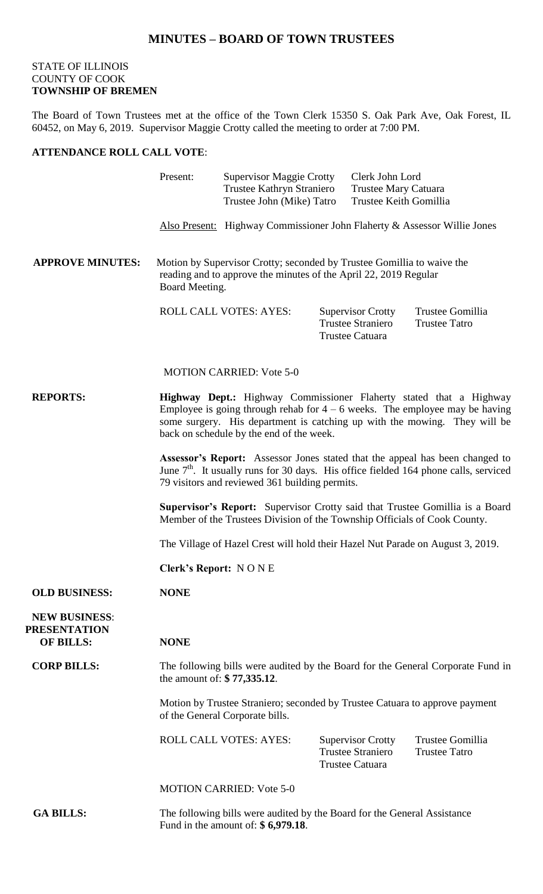## **MINUTES – BOARD OF TOWN TRUSTEES**

## STATE OF ILLINOIS COUNTY OF COOK **TOWNSHIP OF BREMEN**

The Board of Town Trustees met at the office of the Town Clerk 15350 S. Oak Park Ave, Oak Forest, IL 60452, on May 6, 2019. Supervisor Maggie Crotty called the meeting to order at 7:00 PM.

## **ATTENDANCE ROLL CALL VOTE**:

|                                                                 | Present:                                                                                                                                                                                                                                                                     | <b>Supervisor Maggie Crotty</b><br>Trustee Kathryn Straniero<br>Trustee John (Mike) Tatro |  | Clerk John Lord<br>Trustee Mary Catuara<br>Trustee Keith Gomillia              |                                          |
|-----------------------------------------------------------------|------------------------------------------------------------------------------------------------------------------------------------------------------------------------------------------------------------------------------------------------------------------------------|-------------------------------------------------------------------------------------------|--|--------------------------------------------------------------------------------|------------------------------------------|
|                                                                 |                                                                                                                                                                                                                                                                              | Also Present: Highway Commissioner John Flaherty & Assessor Willie Jones                  |  |                                                                                |                                          |
| <b>APPROVE MINUTES:</b>                                         | Motion by Supervisor Crotty; seconded by Trustee Gomillia to waive the<br>reading and to approve the minutes of the April 22, 2019 Regular<br>Board Meeting.                                                                                                                 |                                                                                           |  |                                                                                |                                          |
|                                                                 |                                                                                                                                                                                                                                                                              | ROLL CALL VOTES: AYES:                                                                    |  | <b>Supervisor Crotty</b><br><b>Trustee Straniero</b><br><b>Trustee Catuara</b> | Trustee Gomillia<br><b>Trustee Tatro</b> |
|                                                                 |                                                                                                                                                                                                                                                                              | <b>MOTION CARRIED: Vote 5-0</b>                                                           |  |                                                                                |                                          |
| <b>REPORTS:</b>                                                 | Highway Dept.: Highway Commissioner Flaherty stated that a Highway<br>Employee is going through rehab for $4 - 6$ weeks. The employee may be having<br>some surgery. His department is catching up with the mowing. They will be<br>back on schedule by the end of the week. |                                                                                           |  |                                                                                |                                          |
|                                                                 | Assessor's Report: Assessor Jones stated that the appeal has been changed to<br>June 7 <sup>th</sup> . It usually runs for 30 days. His office fielded 164 phone calls, serviced<br>79 visitors and reviewed 361 building permits.                                           |                                                                                           |  |                                                                                |                                          |
|                                                                 | <b>Supervisor's Report:</b> Supervisor Crotty said that Trustee Gomillia is a Board<br>Member of the Trustees Division of the Township Officials of Cook County.                                                                                                             |                                                                                           |  |                                                                                |                                          |
|                                                                 | The Village of Hazel Crest will hold their Hazel Nut Parade on August 3, 2019.                                                                                                                                                                                               |                                                                                           |  |                                                                                |                                          |
|                                                                 | <b>Clerk's Report: NONE</b>                                                                                                                                                                                                                                                  |                                                                                           |  |                                                                                |                                          |
| <b>OLD BUSINESS:</b>                                            | <b>NONE</b>                                                                                                                                                                                                                                                                  |                                                                                           |  |                                                                                |                                          |
| <b>NEW BUSINESS:</b><br><b>PRESENTATION</b><br><b>OF BILLS:</b> | <b>NONE</b>                                                                                                                                                                                                                                                                  |                                                                                           |  |                                                                                |                                          |
| <b>CORP BILLS:</b>                                              | The following bills were audited by the Board for the General Corporate Fund in<br>the amount of: \$77,335.12.                                                                                                                                                               |                                                                                           |  |                                                                                |                                          |
|                                                                 | Motion by Trustee Straniero; seconded by Trustee Catuara to approve payment<br>of the General Corporate bills.                                                                                                                                                               |                                                                                           |  |                                                                                |                                          |
|                                                                 |                                                                                                                                                                                                                                                                              | <b>ROLL CALL VOTES: AYES:</b>                                                             |  | <b>Supervisor Crotty</b><br><b>Trustee Straniero</b><br><b>Trustee Catuara</b> | Trustee Gomillia<br><b>Trustee Tatro</b> |
|                                                                 | <b>MOTION CARRIED: Vote 5-0</b>                                                                                                                                                                                                                                              |                                                                                           |  |                                                                                |                                          |
| <b>GA BILLS:</b>                                                | The following bills were audited by the Board for the General Assistance<br>Fund in the amount of: $$6,979.18$ .                                                                                                                                                             |                                                                                           |  |                                                                                |                                          |